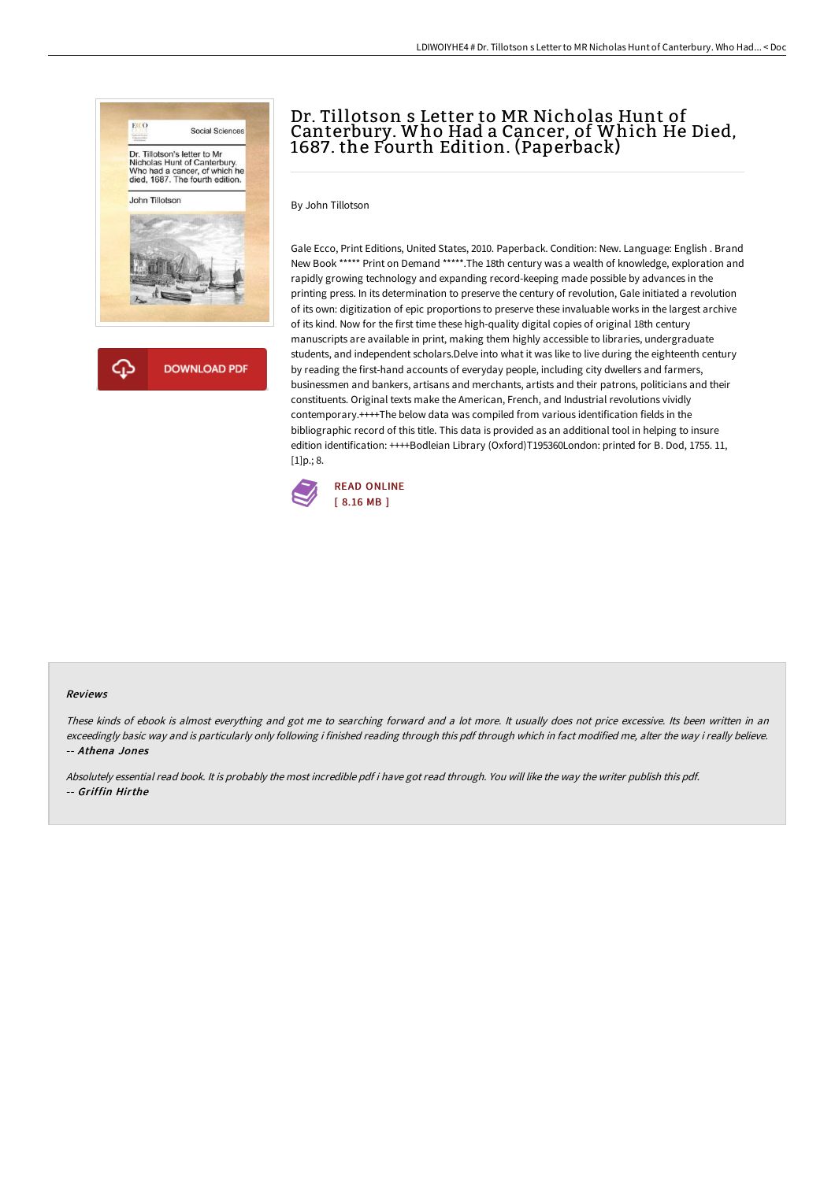

# Dr. Tillotson s Letter to MR Nicholas Hunt of Canterbury. Who Had a Cancer, of Which He Died, 1687. the Fourth Edition. (Paperback)

By John Tillotson

Gale Ecco, Print Editions, United States, 2010. Paperback. Condition: New. Language: English . Brand New Book \*\*\*\*\* Print on Demand \*\*\*\*\*.The 18th century was a wealth of knowledge, exploration and rapidly growing technology and expanding record-keeping made possible by advances in the printing press. In its determination to preserve the century of revolution, Gale initiated a revolution of its own: digitization of epic proportions to preserve these invaluable works in the largest archive of its kind. Now for the first time these high-quality digital copies of original 18th century manuscripts are available in print, making them highly accessible to libraries, undergraduate students, and independent scholars.Delve into what it was like to live during the eighteenth century by reading the first-hand accounts of everyday people, including city dwellers and farmers, businessmen and bankers, artisans and merchants, artists and their patrons, politicians and their constituents. Original texts make the American, French, and Industrial revolutions vividly contemporary.++++The below data was compiled from various identification fields in the bibliographic record of this title. This data is provided as an additional tool in helping to insure edition identification: ++++Bodleian Library (Oxford)T195360London: printed for B. Dod, 1755. 11,  $[1]p$ .; 8.



#### Reviews

These kinds of ebook is almost everything and got me to searching forward and <sup>a</sup> lot more. It usually does not price excessive. Its been written in an exceedingly basic way and is particularly only following i finished reading through this pdf through which in fact modified me, alter the way i really believe. -- Athena Jones

Absolutely essential read book. It is probably the most incredible pdf i have got read through. You will like the way the writer publish this pdf. -- Griffin Hirthe